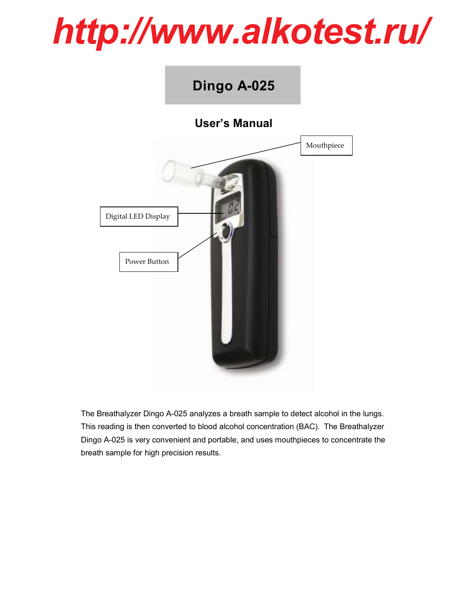## *http://www.alkotest.ru/*

**Dingo A-025**

# User's Manual Power Button Digital LED Display Mouthpiece

The Breathalyzer Dingo A-025 analyzes a breath sample to detect alcohol in the lungs. This reading is then converted to blood alcohol concentration (BAC). The Breathalyzer Dingo A-025 is very convenient and portable, and uses mouthpieces to concentrate the breath sample for high precision results.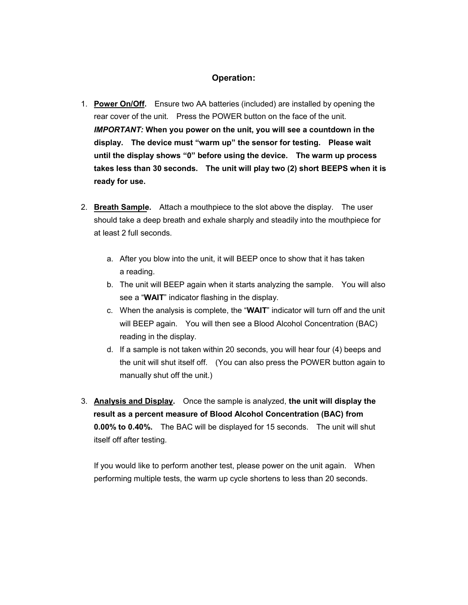### Operation:

- 1. Power On/Off. Ensure two AA batteries (included) are installed by opening the rear cover of the unit. Press the POWER button on the face of the unit. IMPORTANT: When you power on the unit, you will see a countdown in the display. The device must "warm up" the sensor for testing. Please wait until the display shows "0" before using the device. The warm up process takes less than 30 seconds. The unit will play two (2) short BEEPS when it is ready for use.
- 2. Breath Sample. Attach a mouthpiece to the slot above the display. The user should take a deep breath and exhale sharply and steadily into the mouthpiece for at least 2 full seconds.
	- a. After you blow into the unit, it will BEEP once to show that it has taken a reading.
	- b. The unit will BEEP again when it starts analyzing the sample. You will also see a "WAIT" indicator flashing in the display.
	- c. When the analysis is complete, the "WAIT" indicator will turn off and the unit will BEEP again. You will then see a Blood Alcohol Concentration (BAC) reading in the display.
	- d. If a sample is not taken within 20 seconds, you will hear four (4) beeps and the unit will shut itself off. (You can also press the POWER button again to manually shut off the unit.)
- 3. Analysis and Display. Once the sample is analyzed, the unit will display the result as a percent measure of Blood Alcohol Concentration (BAC) from 0.00% to 0.40%. The BAC will be displayed for 15 seconds. The unit will shut itself off after testing.

If you would like to perform another test, please power on the unit again. When performing multiple tests, the warm up cycle shortens to less than 20 seconds.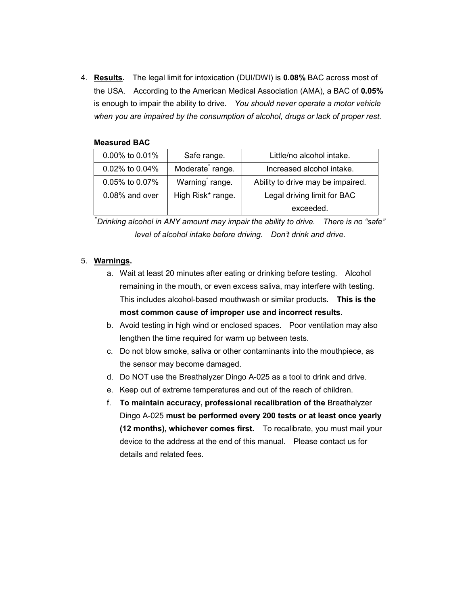4. Results. The legal limit for intoxication (DUI/DWI) is 0.08% BAC across most of the USA. According to the American Medical Association (AMA), a BAC of 0.05% is enough to impair the ability to drive. You should never operate a motor vehicle when you are impaired by the consumption of alcohol, drugs or lack of proper rest.

| 0.00% to 0.01% | Safe range.                  | Little/no alcohol intake.         |
|----------------|------------------------------|-----------------------------------|
| 0.02% to 0.04% | Moderate <sup>*</sup> range. | Increased alcohol intake.         |
| 0.05% to 0.07% | Warning range.               | Ability to drive may be impaired. |
| 0.08% and over | High Risk* range.            | Legal driving limit for BAC       |
|                |                              | exceeded.                         |

#### Measured BAC

\* Drinking alcohol in ANY amount may impair the ability to drive. There is no "safe" level of alcohol intake before driving. Don't drink and drive.

#### 5. Warnings.

- a. Wait at least 20 minutes after eating or drinking before testing. Alcohol remaining in the mouth, or even excess saliva, may interfere with testing. This includes alcohol-based mouthwash or similar products. This is the most common cause of improper use and incorrect results.
- b. Avoid testing in high wind or enclosed spaces. Poor ventilation may also lengthen the time required for warm up between tests.
- c. Do not blow smoke, saliva or other contaminants into the mouthpiece, as the sensor may become damaged.
- d. Do NOT use the Breathalyzer Dingo A-025 as a tool to drink and drive.
- e. Keep out of extreme temperatures and out of the reach of children.
- f. To maintain accuracy, professional recalibration of the Breathalyzer Dingo A-025 must be performed every 200 tests or at least once yearly (12 months), whichever comes first. To recalibrate, you must mail your device to the address at the end of this manual. Please contact us for details and related fees.